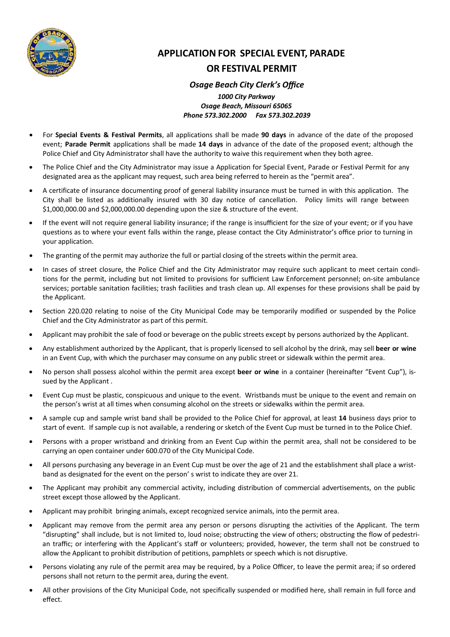

# **APPLICATION FOR SPECIAL EVENT, PARADE OR FESTIVAL PERMIT**

# *Osage Beach City Clerk's Office*

### *1000 City Parkway Osage Beach, Missouri 65065 Phone 573.302.2000 Fax 573.302.2039*

- For **Special Events & Festival Permits**, all applications shall be made **90 days** in advance of the date of the proposed event; **Parade Permit** applications shall be made **14 days** in advance of the date of the proposed event; although the Police Chief and City Administrator shall have the authority to waive this requirement when they both agree.
- The Police Chief and the City Administrator may issue a Application for Special Event, Parade or Festival Permit for any designated area as the applicant may request, such area being referred to herein as the "permit area".
- A certificate of insurance documenting proof of general liability insurance must be turned in with this application. The City shall be listed as additionally insured with 30 day notice of cancellation. Policy limits will range between \$1,000,000.00 and \$2,000,000.00 depending upon the size & structure of the event.
- If the event will not require general liability insurance; if the range is insufficient for the size of your event; or if you have questions as to where your event falls within the range, please contact the City Administrator's office prior to turning in your application.
- The granting of the permit may authorize the full or partial closing of the streets within the permit area.
- In cases of street closure, the Police Chief and the City Administrator may require such applicant to meet certain conditions for the permit, including but not limited to provisions for sufficient Law Enforcement personnel; on‐site ambulance services; portable sanitation facilities; trash facilities and trash clean up. All expenses for these provisions shall be paid by the Applicant.
- Section 220.020 relating to noise of the City Municipal Code may be temporarily modified or suspended by the Police Chief and the City Administrator as part of this permit.
- Applicant may prohibit the sale of food or beverage on the public streets except by persons authorized by the Applicant.
- Any establishment authorized by the Applicant, that is properly licensed to sell alcohol by the drink, may sell **beer or wine** in an Event Cup, with which the purchaser may consume on any public street or sidewalk within the permit area.
- No person shall possess alcohol within the permit area except **beer or wine** in a container (hereinafter "Event Cup"), is‐ sued by the Applicant .
- Event Cup must be plastic, conspicuous and unique to the event. Wristbands must be unique to the event and remain on the person's wrist at all times when consuming alcohol on the streets or sidewalks within the permit area.
- A sample cup and sample wrist band shall be provided to the Police Chief for approval, at least **14** business days prior to start of event. If sample cup is not available, a rendering or sketch of the Event Cup must be turned in to the Police Chief.
- Persons with a proper wristband and drinking from an Event Cup within the permit area, shall not be considered to be carrying an open container under 600.070 of the City Municipal Code.
- All persons purchasing any beverage in an Event Cup must be over the age of 21 and the establishment shall place a wristband as designated for the event on the person' s wrist to indicate they are over 21.
- The Applicant may prohibit any commercial activity, including distribution of commercial advertisements, on the public street except those allowed by the Applicant.
- Applicant may prohibit bringing animals, except recognized service animals, into the permit area.
- Applicant may remove from the permit area any person or persons disrupting the activities of the Applicant. The term "disrupting" shall include, but is not limited to, loud noise; obstructing the view of others; obstructing the flow of pedestri‐ an traffic; or interfering with the Applicant's staff or volunteers; provided, however, the term shall not be construed to allow the Applicant to prohibit distribution of petitions, pamphlets or speech which is not disruptive.
- Persons violating any rule of the permit area may be required, by a Police Officer, to leave the permit area; if so ordered persons shall not return to the permit area, during the event.
- All other provisions of the City Municipal Code, not specifically suspended or modified here, shall remain in full force and effect.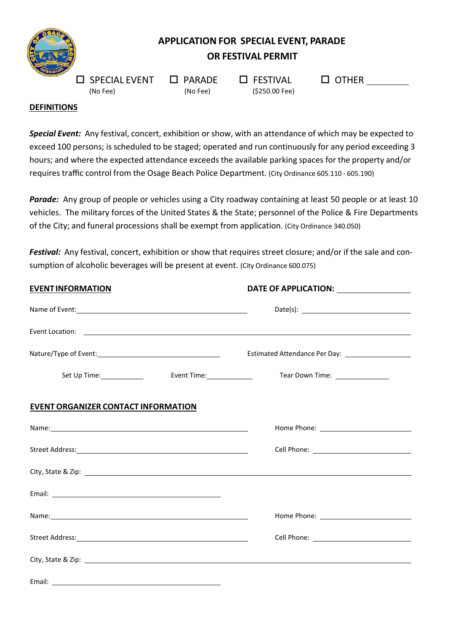

# **APPLICATION FOR SPECIAL EVENT, PARADE OR FESTIVAL PERMIT**

 $\square$  SPECIAL EVENT  $\square$  PARADE  $\square$  FESTIVAL  $\square$  OTHER

(No Fee) (No Fee) (\$250.00 Fee)

# **DEFINITIONS**

*Special Event:* Any festival, concert, exhibition or show, with an attendance of which may be expected to exceed 100 persons; is scheduled to be staged; operated and run continuously for any period exceeding 3 hours; and where the expected attendance exceeds the available parking spaces for the property and/or requires traffic control from the Osage Beach Police Department. (City Ordinance 605.110 ‐ 605.190)

Parade: Any group of people or vehicles using a City roadway containing at least 50 people or at least 10 vehicles. The military forces of the United States & the State; personnel of the Police & Fire Departments of the City; and funeral processions shall be exempt from application. (City Ordinance 340.050)

*Festival:* Any festival, concert, exhibition or show that requires street closure; and/or if the sale and con‐ sumption of alcoholic beverages will be present at event. (City Ordinance 600.075)

| <b>EVENTINFORMATION</b>                                                                                                                                                                                                       |                  | DATE OF APPLICATION: _________________ |  |
|-------------------------------------------------------------------------------------------------------------------------------------------------------------------------------------------------------------------------------|------------------|----------------------------------------|--|
|                                                                                                                                                                                                                               |                  |                                        |  |
|                                                                                                                                                                                                                               |                  |                                        |  |
|                                                                                                                                                                                                                               |                  |                                        |  |
|                                                                                                                                                                                                                               | Event Time: 1990 | Tear Down Time: 1990                   |  |
| <b>EVENT ORGANIZER CONTACT INFORMATION</b>                                                                                                                                                                                    |                  |                                        |  |
|                                                                                                                                                                                                                               |                  |                                        |  |
|                                                                                                                                                                                                                               |                  |                                        |  |
|                                                                                                                                                                                                                               |                  |                                        |  |
|                                                                                                                                                                                                                               |                  |                                        |  |
| Name: Name: Name: Name: Name: Name: Name: Name: Name: Name: Name: Name: Name: Name: Name: Name: Name: Name: Name: Name: Name: Name: Name: Name: Name: Name: Name: Name: Name: Name: Name: Name: Name: Name: Name: Name: Name: |                  |                                        |  |
|                                                                                                                                                                                                                               |                  |                                        |  |
|                                                                                                                                                                                                                               |                  |                                        |  |
|                                                                                                                                                                                                                               |                  |                                        |  |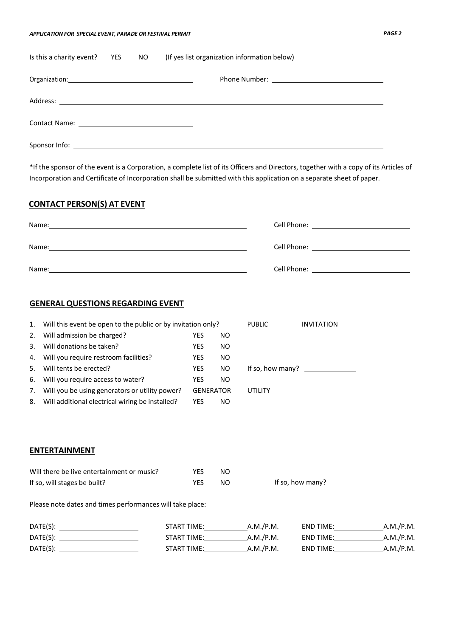#### *APPLICATION FOR SPECIAL EVENT, PARADE OR FESTIVAL PERMIT PAGE 2*

| Is this a charity event? | <b>YES</b> | NO 1 | (If yes list organization information below) |
|--------------------------|------------|------|----------------------------------------------|
|                          |            |      |                                              |
|                          |            |      |                                              |
|                          |            |      |                                              |
|                          |            |      |                                              |

\*If the sponsor of the event is a Corporation, a complete list of its Officers and Directors, together with a copy of its Articles of Incorporation and Certificate of Incorporation shall be submitted with this application on a separate sheet of paper.

## **CONTACT PERSON(S) AT EVENT**

| Name:                                                                                                                                                                                                                                         | Cell Phone: <u>________________________________</u> |
|-----------------------------------------------------------------------------------------------------------------------------------------------------------------------------------------------------------------------------------------------|-----------------------------------------------------|
| Name:<br><u>and the contract of the contract of the contract of the contract of the contract of the contract of the contract of the contract of the contract of the contract of the contract of the contract of the contract of the contr</u> | Cell Phone: <u>_____________________________</u>    |
| Name:                                                                                                                                                                                                                                         | Cell Phone: <u>_________________________</u>        |

### **GENERAL QUESTIONS REGARDING EVENT**

| 1. | Will this event be open to the public or by invitation only? |            | <b>PUBLIC</b>    | <b>INVITATION</b> |  |
|----|--------------------------------------------------------------|------------|------------------|-------------------|--|
| 2. | Will admission be charged?                                   | YES        | NO               |                   |  |
| 3. | Will donations be taken?                                     | YES        | NO.              |                   |  |
|    | 4. Will you require restroom facilities?                     | YES        | NO.              |                   |  |
| 5. | Will tents be erected?                                       | <b>YES</b> | NO.              | If so, how many?  |  |
| 6. | Will you require access to water?                            | YES        | NO.              |                   |  |
| 7. | Will you be using generators or utility power?               |            | <b>GENERATOR</b> | UTILITY           |  |
| 8. | Will additional electrical wiring be installed?              | YES        | NO.              |                   |  |

### **ENTERTAINMENT**

| Will there be live entertainment or music? | <b>YES</b> | NΩ |                  |
|--------------------------------------------|------------|----|------------------|
| If so, will stages be built?               | <b>YES</b> | NO | If so, how many? |

Please note dates and times performances will take place:

| DATE(S): | <b>START TIME:</b> | A.M./P.M. | <b>END TIME:</b> | A.M./P.M. |
|----------|--------------------|-----------|------------------|-----------|
| DATE(S): | <b>START TIME:</b> | A.M./P.M. | END TIME:        | A.M./P.M. |
| DATE(S): | <b>START TIME:</b> | A.M./P.M. | <b>END TIME:</b> | A.M./P.M. |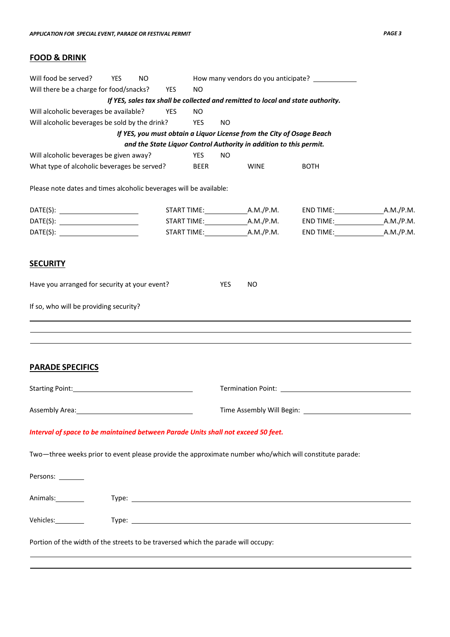# **FOOD & DRINK**

| Will food be served?                                                                                                                                                                                                           | YES | <b>NO</b> |            |             |            |                                                                       | How many vendors do you anticipate?                                             |  |
|--------------------------------------------------------------------------------------------------------------------------------------------------------------------------------------------------------------------------------|-----|-----------|------------|-------------|------------|-----------------------------------------------------------------------|---------------------------------------------------------------------------------|--|
| Will there be a charge for food/snacks?                                                                                                                                                                                        |     |           | YES        | <b>NO</b>   |            |                                                                       |                                                                                 |  |
|                                                                                                                                                                                                                                |     |           |            |             |            |                                                                       | If YES, sales tax shall be collected and remitted to local and state authority. |  |
| Will alcoholic beverages be available?                                                                                                                                                                                         |     |           | <b>YES</b> | <b>NO</b>   |            |                                                                       |                                                                                 |  |
| Will alcoholic beverages be sold by the drink?                                                                                                                                                                                 |     |           |            | YES         | <b>NO</b>  |                                                                       |                                                                                 |  |
|                                                                                                                                                                                                                                |     |           |            |             |            | If YES, you must obtain a Liquor License from the City of Osage Beach |                                                                                 |  |
|                                                                                                                                                                                                                                |     |           |            |             |            | and the State Liquor Control Authority in addition to this permit.    |                                                                                 |  |
| Will alcoholic beverages be given away?                                                                                                                                                                                        |     |           |            | YES         | <b>NO</b>  |                                                                       |                                                                                 |  |
| What type of alcoholic beverages be served?                                                                                                                                                                                    |     |           |            | <b>BEER</b> |            | <b>WINE</b>                                                           | <b>BOTH</b>                                                                     |  |
| Please note dates and times alcoholic beverages will be available:                                                                                                                                                             |     |           |            |             |            |                                                                       |                                                                                 |  |
| DATE(S): __________________________                                                                                                                                                                                            |     |           |            |             |            |                                                                       |                                                                                 |  |
| DATE(S): __________________________                                                                                                                                                                                            |     |           |            |             |            |                                                                       |                                                                                 |  |
| DATE(S): __________________________                                                                                                                                                                                            |     |           |            |             |            |                                                                       | END TIME: A.M./P.M.                                                             |  |
| <u>SECURITY</u>                                                                                                                                                                                                                |     |           |            |             |            |                                                                       |                                                                                 |  |
| Have you arranged for security at your event?                                                                                                                                                                                  |     |           |            |             | <b>YES</b> | <b>NO</b>                                                             |                                                                                 |  |
| If so, who will be providing security?                                                                                                                                                                                         |     |           |            |             |            |                                                                       |                                                                                 |  |
|                                                                                                                                                                                                                                |     |           |            |             |            |                                                                       |                                                                                 |  |
|                                                                                                                                                                                                                                |     |           |            |             |            |                                                                       |                                                                                 |  |
| <b>PARADE SPECIFICS</b>                                                                                                                                                                                                        |     |           |            |             |            |                                                                       |                                                                                 |  |
|                                                                                                                                                                                                                                |     |           |            |             |            |                                                                       |                                                                                 |  |
| Starting Point: Management of the Starting Point:                                                                                                                                                                              |     |           |            |             |            |                                                                       |                                                                                 |  |
| Assembly Area:                                                                                                                                                                                                                 |     |           |            |             |            |                                                                       |                                                                                 |  |
| Interval of space to be maintained between Parade Units shall not exceed 50 feet.                                                                                                                                              |     |           |            |             |            |                                                                       |                                                                                 |  |
| Two-three weeks prior to event please provide the approximate number who/which will constitute parade:                                                                                                                         |     |           |            |             |            |                                                                       |                                                                                 |  |
| Persons: ________                                                                                                                                                                                                              |     |           |            |             |            |                                                                       |                                                                                 |  |
| Animals: Type: Type: Type: Type: Type: Type: Type: Type: Type: Type: Type: Type: Type: Type: Type: Type: Type: Type: Type: Type: Type: Type: Type: Type: Type: Type: Type: Type: Type: Type: Type: Type: Type: Type: Type: Typ |     |           |            |             |            |                                                                       |                                                                                 |  |
|                                                                                                                                                                                                                                |     |           |            |             |            |                                                                       |                                                                                 |  |
| Portion of the width of the streets to be traversed which the parade will occupy:                                                                                                                                              |     |           |            |             |            |                                                                       |                                                                                 |  |
|                                                                                                                                                                                                                                |     |           |            |             |            |                                                                       |                                                                                 |  |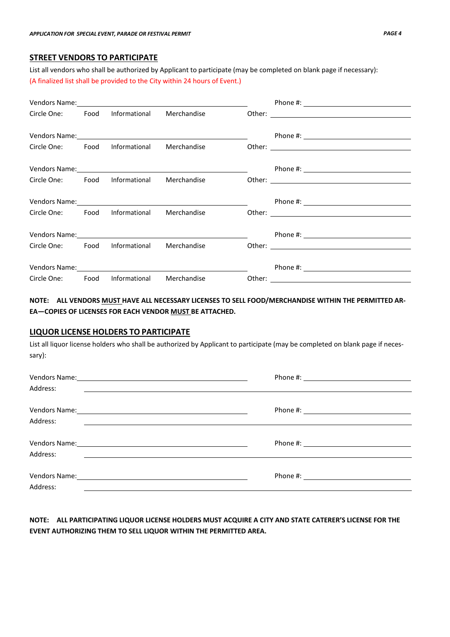### **STREET VENDORS TO PARTICIPATE**

List all vendors who shall be authorized by Applicant to participate (may be completed on blank page if necessary): (A finalized list shall be provided to the City within 24 hours of Event.)

|                                            |               | Vendors Name: 1988 and 2008 and 2008 and 2008 and 2008 and 2008 and 2008 and 2008 and 2008 and 2008 and 2008 and 2008 and 2008 and 2008 and 2008 and 2008 and 2008 and 2008 and 2008 and 2008 and 2008 and 2008 and 2008 and 2 |  |
|--------------------------------------------|---------------|--------------------------------------------------------------------------------------------------------------------------------------------------------------------------------------------------------------------------------|--|
| Circle One: Food                           | Informational | Merchandise                                                                                                                                                                                                                    |  |
|                                            |               |                                                                                                                                                                                                                                |  |
|                                            |               | Vendors Name: 1988 and 2008 and 2008 and 2008 and 2008 and 2008 and 2008 and 2008 and 2008 and 2008 and 2008 and 2008 and 2008 and 2008 and 2008 and 2008 and 2008 and 2008 and 2008 and 2008 and 2008 and 2008 and 2008 and 2 |  |
| Circle One: Food Informational Merchandise |               |                                                                                                                                                                                                                                |  |
|                                            |               |                                                                                                                                                                                                                                |  |
|                                            |               | Vendors Name: 1988 and 2008 and 2008 and 2008 and 2008 and 2008 and 2008 and 2008 and 2008 and 2008 and 2008 and 2008 and 2008 and 2008 and 2008 and 2008 and 2008 and 2008 and 2008 and 2008 and 2008 and 2008 and 2008 and 2 |  |
| Circle One: Food Informational Merchandise |               |                                                                                                                                                                                                                                |  |
|                                            |               |                                                                                                                                                                                                                                |  |
|                                            |               |                                                                                                                                                                                                                                |  |
| Circle One: Food Informational Merchandise |               |                                                                                                                                                                                                                                |  |
|                                            |               |                                                                                                                                                                                                                                |  |
|                                            |               | Vendors Name: Name and Second Contract and Second Contract of the Contract of the Contract of the Contract of the Contract of the Contract of the Contract of the Contract of the Contract of the Contract of the Contract of  |  |
| Circle One: Food Informational             |               | Merchandise                                                                                                                                                                                                                    |  |
|                                            |               |                                                                                                                                                                                                                                |  |
|                                            |               |                                                                                                                                                                                                                                |  |
| Circle One: Food Informational Merchandise |               |                                                                                                                                                                                                                                |  |

# **NOTE: ALL VENDORS MUST HAVE ALL NECESSARY LICENSES TO SELL FOOD/MERCHANDISE WITHIN THE PERMITTED AR‐ EA—COPIES OF LICENSES FOR EACH VENDOR MUST BE ATTACHED.**

#### **LIQUOR LICENSE HOLDERS TO PARTICIPATE**

List all liquor license holders who shall be authorized by Applicant to participate (may be completed on blank page if necessary):

| Address: | Vendors Name: Note and the contract of the contract of the contract of the contract of the contract of the contract of the contract of the contract of the contract of the contract of the contract of the contract of the con<br><u> 1980 - Andrea Station, amerikansk politik (</u> |
|----------|---------------------------------------------------------------------------------------------------------------------------------------------------------------------------------------------------------------------------------------------------------------------------------------|
| Address: | <u> 1989 - Andrea State Barbara, amerikan personal di sebagai personal di sebagai personal di sebagai personal di</u>                                                                                                                                                                 |
| Address: |                                                                                                                                                                                                                                                                                       |
| Address: | <u> 1989 - Andrea Andrew Maria (h. 1989).</u><br>Phone #: <u>__________________________</u><br><u> 1989 - Andrea Andrew Maria (h. 1989).</u>                                                                                                                                          |

## **NOTE: ALL PARTICIPATING LIQUOR LICENSE HOLDERS MUST ACQUIRE A CITY AND STATE CATERER'S LICENSE FOR THE EVENT AUTHORIZING THEM TO SELL LIQUOR WITHIN THE PERMITTED AREA.**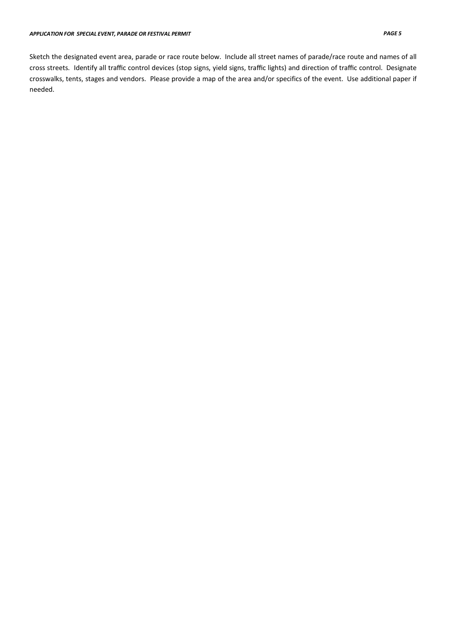Sketch the designated event area, parade or race route below. Include all street names of parade/race route and names of all cross streets. Identify all traffic control devices (stop signs, yield signs, traffic lights) and direction of traffic control. Designate crosswalks, tents, stages and vendors. Please provide a map of the area and/or specifics of the event. Use additional paper if needed.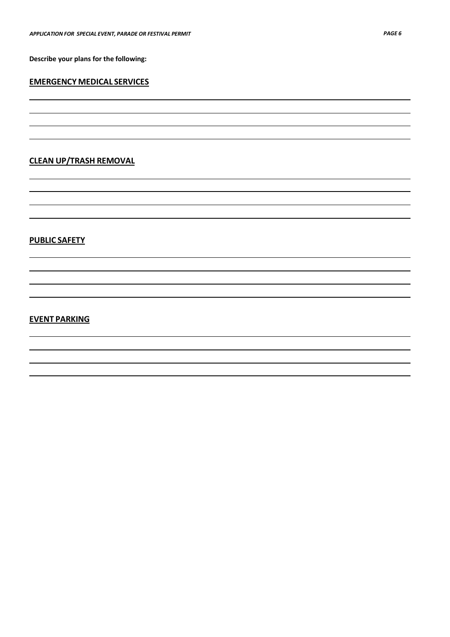**Describe your plans for the following:**

### **EMERGENCY MEDICAL SERVICES**

# **CLEAN UP/TRASH REMOVAL**

# **PUBLIC SAFETY**

### **EVENT PARKING**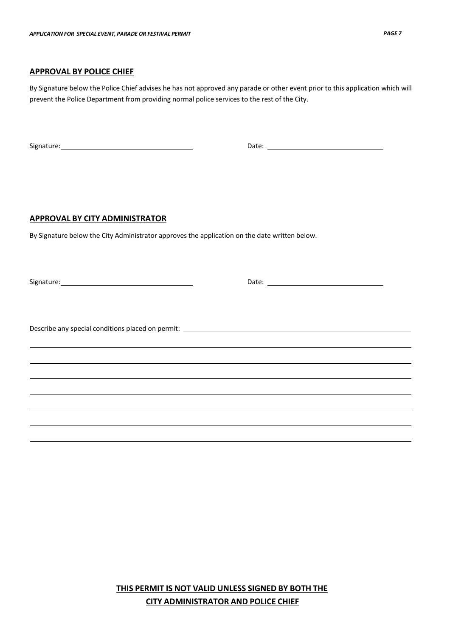### **APPROVAL BY POLICE CHIEF**

By Signature below the Police Chief advises he has not approved any parade or other event prior to this application which will prevent the Police Department from providing normal police services to the rest of the City.

Signature: Date:

#### **APPROVAL BY CITY ADMINISTRATOR**

By Signature below the City Administrator approves the application on the date written below.

Signature: Date:

Describe any special conditions placed on permit: \_\_\_\_\_\_\_\_\_\_\_\_\_\_\_\_\_\_\_\_\_\_\_\_\_\_\_\_\_\_

**THIS PERMIT IS NOT VALID UNLESS SIGNED BY BOTH THE CITY ADMINISTRATOR AND POLICE CHIEF**